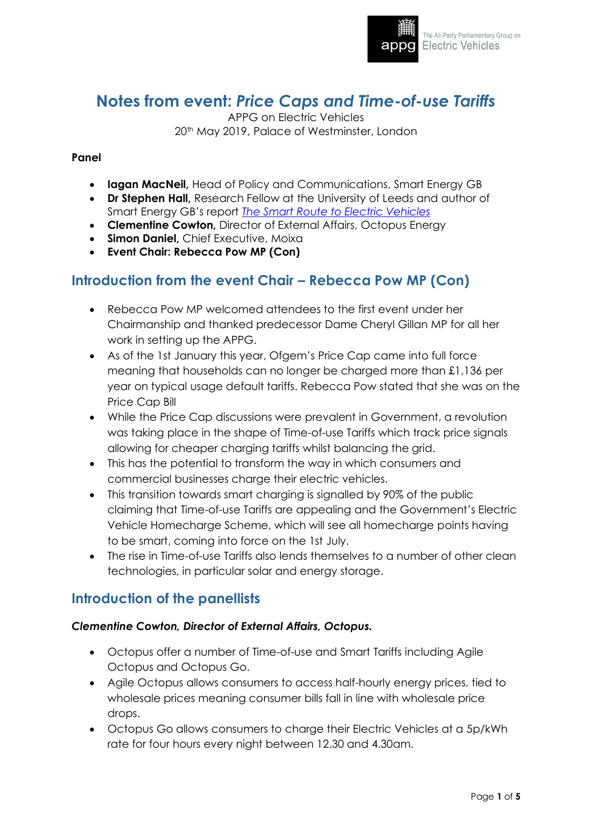

# **Notes from event:** *Price Caps and Time-of-use Tariffs*

APPG on Electric Vehicles 20<sup>th</sup> May 2019, Palace of Westminster, London

#### **Panel**

- **Iagan MacNeil,** Head of Policy and Communications, Smart Energy GB
- **Dr Stephen Hall,** Research Fellow at the University of Leeds and author of Smart Energy GB's report *[The Smart Route to Electric Vehicles](https://www.smartenergygb.org/en/resources/press-centre/press-releases-folder/smart-route-to-electric-vehicles)*
- **Clementine Cowton,** Director of External Affairs, Octopus Energy
- **Simon Daniel,** Chief Executive, Moixa
- **Event Chair: Rebecca Pow MP (Con)**

### **Introduction from the event Chair – Rebecca Pow MP (Con)**

- Rebecca Pow MP welcomed attendees to the first event under her Chairmanship and thanked predecessor Dame Cheryl Gillan MP for all her work in setting up the APPG.
- As of the 1st January this year, Ofgem's Price Cap came into full force meaning that households can no longer be charged more than £1,136 per year on typical usage default tariffs. Rebecca Pow stated that she was on the Price Cap Bill
- While the Price Cap discussions were prevalent in Government, a revolution was taking place in the shape of Time-of-use Tariffs which track price signals allowing for cheaper charging tariffs whilst balancing the grid.
- This has the potential to transform the way in which consumers and commercial businesses charge their electric vehicles.
- This transition towards smart charging is signalled by 90% of the public claiming that Time-of-use Tariffs are appealing and the Government's Electric Vehicle Homecharge Scheme, which will see all homecharge points having to be smart, coming into force on the 1st July.
- The rise in Time-of-use Tariffs also lends themselves to a number of other clean technologies, in particular solar and energy storage.

### **Introduction of the panellists**

#### *Clementine Cowton, Director of External Affairs, Octopus.*

- Octopus offer a number of Time-of-use and Smart Tariffs including Agile Octopus and Octopus Go.
- Agile Octopus allows consumers to access half-hourly energy prices, tied to wholesale prices meaning consumer bills fall in line with wholesale price drops.
- Octopus Go allows consumers to charge their Electric Vehicles at a 5p/kWh rate for four hours every night between 12.30 and 4.30am.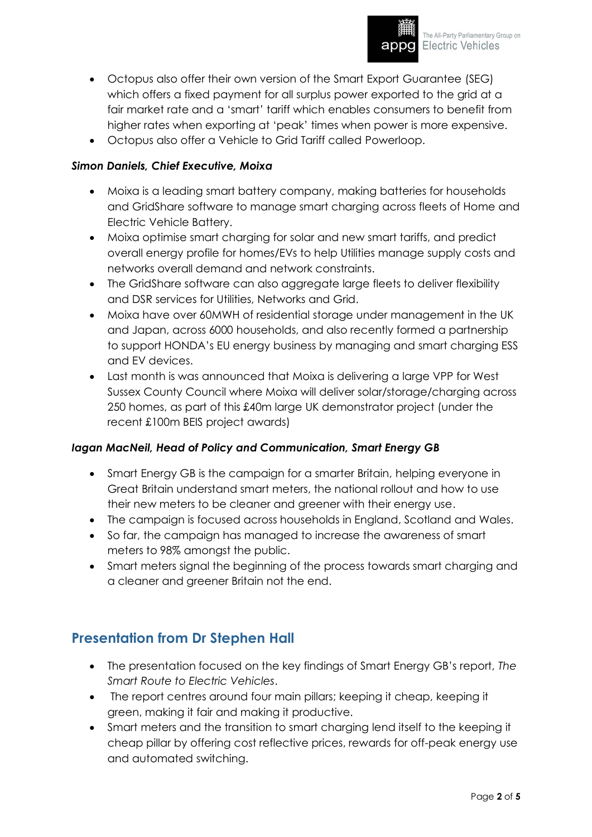

- Octopus also offer their own version of the Smart Export Guarantee (SEG) which offers a fixed payment for all surplus power exported to the grid at a fair market rate and a 'smart' tariff which enables consumers to benefit from higher rates when exporting at 'peak' times when power is more expensive.
- Octopus also offer a Vehicle to Grid Tariff called Powerloop.

#### *Simon Daniels, Chief Executive, Moixa*

- Moixa is a leading smart battery company, making batteries for households and GridShare software to manage smart charging across fleets of Home and Electric Vehicle Battery.
- Moixa optimise smart charging for solar and new smart tariffs, and predict overall energy profile for homes/EVs to help Utilities manage supply costs and networks overall demand and network constraints.
- The GridShare software can also aggregate large fleets to deliver flexibility and DSR services for Utilities, Networks and Grid.
- Moixa have over 60MWH of residential storage under management in the UK and Japan, across 6000 households, and also recently formed a partnership to support HONDA's EU energy business by managing and smart charging ESS and EV devices.
- Last month is was announced that Moixa is delivering a large VPP for West Sussex County Council where Moixa will deliver solar/storage/charging across 250 homes, as part of this £40m large UK demonstrator project (under the recent £100m BEIS project awards)

#### *Iagan MacNeil, Head of Policy and Communication, Smart Energy GB*

- Smart Energy GB is the campaign for a smarter Britain, helping everyone in Great Britain understand smart meters, the national rollout and how to use their new meters to be cleaner and greener with their energy use.
- The campaign is focused across households in England, Scotland and Wales.
- So far, the campaign has managed to increase the awareness of smart meters to 98% amongst the public.
- Smart meters signal the beginning of the process towards smart charging and a cleaner and greener Britain not the end.

### **Presentation from Dr Stephen Hall**

- The presentation focused on the key findings of Smart Energy GB's report, *The Smart Route to Electric Vehicles*.
- The report centres around four main pillars; keeping it cheap, keeping it green, making it fair and making it productive.
- Smart meters and the transition to smart charging lend itself to the keeping it cheap pillar by offering cost reflective prices, rewards for off-peak energy use and automated switching.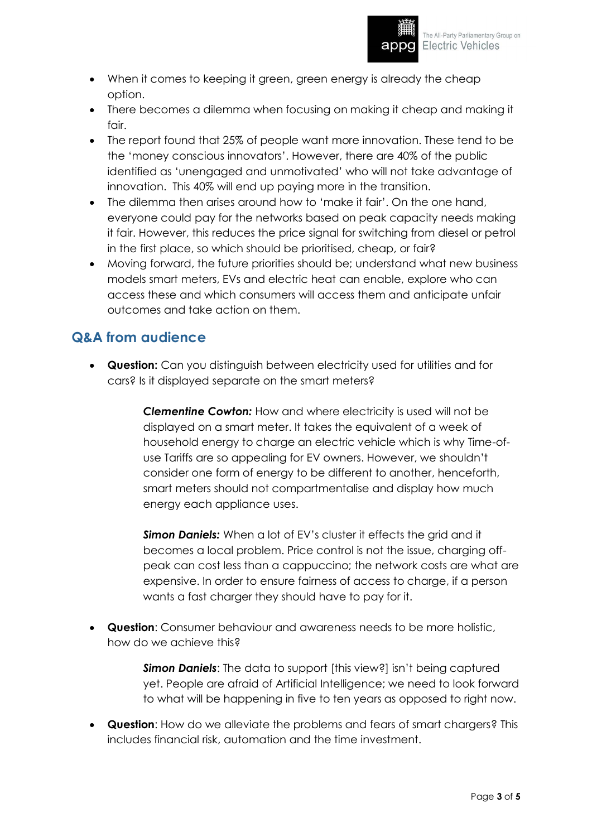

- When it comes to keeping it green, green energy is already the cheap option.
- There becomes a dilemma when focusing on making it cheap and making it fair.
- The report found that 25% of people want more innovation. These tend to be the 'money conscious innovators'. However, there are 40% of the public identified as 'unengaged and unmotivated' who will not take advantage of innovation. This 40% will end up paying more in the transition.
- The dilemma then arises around how to 'make it fair'. On the one hand, everyone could pay for the networks based on peak capacity needs making it fair. However, this reduces the price signal for switching from diesel or petrol in the first place, so which should be prioritised, cheap, or fair?
- Moving forward, the future priorities should be; understand what new business models smart meters, EVs and electric heat can enable, explore who can access these and which consumers will access them and anticipate unfair outcomes and take action on them.

## **Q&A from audience**

• **Question:** Can you distinguish between electricity used for utilities and for cars? Is it displayed separate on the smart meters?

> *Clementine Cowton:* How and where electricity is used will not be displayed on a smart meter. It takes the equivalent of a week of household energy to charge an electric vehicle which is why Time-ofuse Tariffs are so appealing for EV owners. However, we shouldn't consider one form of energy to be different to another, henceforth, smart meters should not compartmentalise and display how much energy each appliance uses.

*Simon Daniels:* When a lot of EV's cluster it effects the grid and it becomes a local problem. Price control is not the issue, charging offpeak can cost less than a cappuccino; the network costs are what are expensive. In order to ensure fairness of access to charge, if a person wants a fast charger they should have to pay for it.

• **Question**: Consumer behaviour and awareness needs to be more holistic, how do we achieve this?

> *Simon Daniels*: The data to support [this view?] isn't being captured yet. People are afraid of Artificial Intelligence; we need to look forward to what will be happening in five to ten years as opposed to right now.

• **Question**: How do we alleviate the problems and fears of smart chargers? This includes financial risk, automation and the time investment.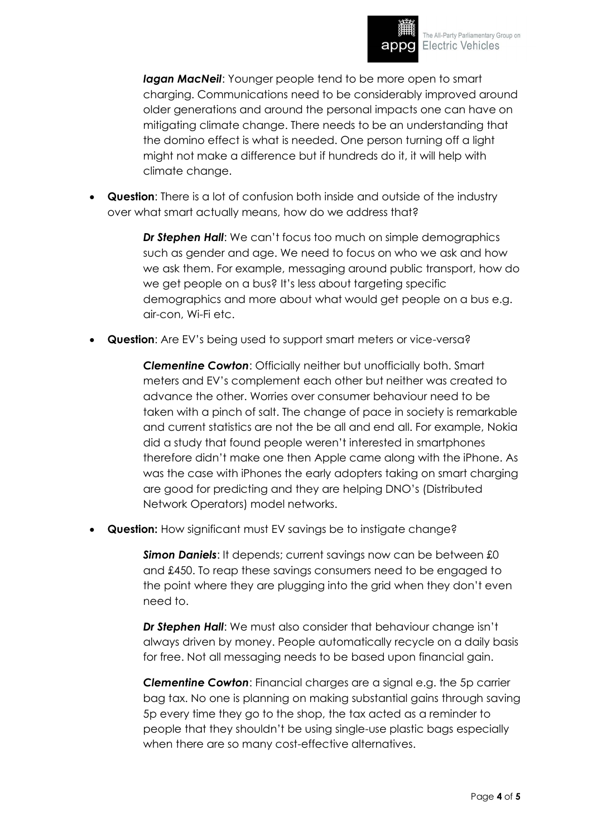

*Iagan MacNeil*: Younger people tend to be more open to smart charging. Communications need to be considerably improved around older generations and around the personal impacts one can have on mitigating climate change. There needs to be an understanding that the domino effect is what is needed. One person turning off a light might not make a difference but if hundreds do it, it will help with climate change.

• **Question**: There is a lot of confusion both inside and outside of the industry over what smart actually means, how do we address that?

> *Dr Stephen Hall*: We can't focus too much on simple demographics such as gender and age. We need to focus on who we ask and how we ask them. For example, messaging around public transport, how do we get people on a bus? It's less about targeting specific demographics and more about what would get people on a bus e.g. air-con, Wi-Fi etc.

• **Question**: Are EV's being used to support smart meters or vice-versa?

*Clementine Cowton*: Officially neither but unofficially both. Smart meters and EV's complement each other but neither was created to advance the other. Worries over consumer behaviour need to be taken with a pinch of salt. The change of pace in society is remarkable and current statistics are not the be all and end all. For example, Nokia did a study that found people weren't interested in smartphones therefore didn't make one then Apple came along with the iPhone. As was the case with iPhones the early adopters taking on smart charging are good for predicting and they are helping DNO's (Distributed Network Operators) model networks.

**Question:** How significant must EV savings be to instigate change?

*Simon Daniels*: It depends; current savings now can be between £0 and £450. To reap these savings consumers need to be engaged to the point where they are plugging into the grid when they don't even need to.

*Dr Stephen Hall*: We must also consider that behaviour change isn't always driven by money. People automatically recycle on a daily basis for free. Not all messaging needs to be based upon financial gain.

*Clementine Cowton*: Financial charges are a signal e.g. the 5p carrier bag tax. No one is planning on making substantial gains through saving 5p every time they go to the shop, the tax acted as a reminder to people that they shouldn't be using single-use plastic bags especially when there are so many cost-effective alternatives.